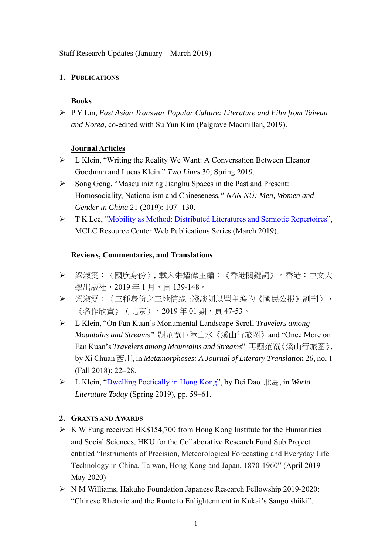### Staff Research Updates (January – March 2019)

# **1. PUBLICATIONS**

# **Books**

 P Y Lin, *East Asian Transwar Popular Culture: Literature and Film from Taiwan and Korea*, co-edited with Su Yun Kim (Palgrave Macmillan, 2019).

## **Journal Articles**

- L Klein, "Writing the Reality We Want: A Conversation Between Eleanor Goodman and Lucas Klein." *Two Lines* 30, Spring 2019.
- Song Geng, "Masculinizing Jianghu Spaces in the Past and Present: Homosociality, Nationalism and Chineseness*," NAN NÜ: Men, Women and Gender in China* 21 (2019): 107- 130.
- T K Lee, "Mobility as Method: Distributed Literatures and Semiotic Repertoires", MCLC Resource Center Web Publications Series (March 2019).

## **Reviews, Commentaries, and Translations**

- 梁淑雯:〈國族身份〉, 載入朱耀偉主編:《香港關鍵詞》。香港:中文大 學出版社, 2019年1月, 頁139-148。
- ▶ 梁淑雯:〈三種身份之三地情缘 :淺談刘以鬯主编的《國民公报》副刊〉, 《名作欣賞》(北京),2019 年 01 期,頁 47-53。
- L Klein, "On Fan Kuan's Monumental Landscape Scroll *Travelers among Mountains and Streams"* 题范宽巨障山水《溪山行旅图》and "Once More on Fan Kuan's *Travelers among Mountains and Streams*" 再题范宽《溪山行旅图》, by Xi Chuan 西川, in *Metamorphoses: A Journal of Literary Translation* 26, no. 1 (Fall 2018): 22–28.
- L Klein, "Dwelling Poetically in Hong Kong", by Bei Dao 北島, in *World Literature Today* (Spring 2019), pp. 59–61.

#### **2. GRANTS AND AWARDS**

- $\triangleright$  K W Fung received HK\$154,700 from Hong Kong Institute for the Humanities and Social Sciences, HKU for the Collaborative Research Fund Sub Project entitled "Instruments of Precision, Meteorological Forecasting and Everyday Life Technology in China, Taiwan, Hong Kong and Japan, 1870-1960" (April 2019 – May 2020)
- N M Williams, Hakuho Foundation Japanese Research Fellowship 2019-2020: "Chinese Rhetoric and the Route to Enlightenment in Kūkai's Sangō shiiki".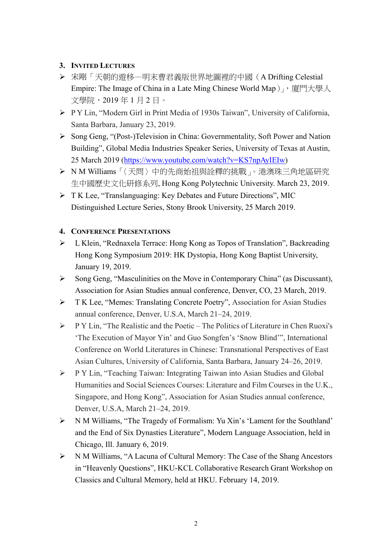## **3. INVITED LECTURES**

- 宋剛「天朝的遊移—明末曹君義版世界地圖裡的中國(A Drifting Celestial Empire: The Image of China in a Late Ming Chinese World Map), 原門大學人 文學院,2019 年 1 月 2 日。
- P Y Lin, "Modern Girl in Print Media of 1930s Taiwan", University of California, Santa Barbara, January 23, 2019.
- Song Geng, "(Post-)Television in China: Governmentality, Soft Power and Nation Building", Global Media Industries Speaker Series, University of Texas at Austin, 25 March 2019 (https://www.youtube.com/watch?v=KS7npAyIEIw)
- ▶ N M Williams「〈天問〉中的先商始祖與詮釋的挑戰」。港澳珠三角地區研究 生中國歷史文化研修系列, Hong Kong Polytechnic University. March 23, 2019.
- T K Lee, "Translanguaging: Key Debates and Future Directions", MIC Distinguished Lecture Series, Stony Brook University, 25 March 2019.

#### **4. CONFERENCE PRESENTATIONS**

- L Klein, "Rednaxela Terrace: Hong Kong as Topos of Translation", Backreading Hong Kong Symposium 2019: HK Dystopia, Hong Kong Baptist University, January 19, 2019.
- Song Geng, "Masculinities on the Move in Contemporary China" (as Discussant), Association for Asian Studies annual conference, Denver, CO, 23 March, 2019.
- T K Lee, "Memes: Translating Concrete Poetry", Association for Asian Studies annual conference, Denver, U.S.A, March 21–24, 2019.
- P Y Lin, "The Realistic and the Poetic The Politics of Literature in Chen Ruoxi's 'The Execution of Mayor Yin' and Guo Songfen's 'Snow Blind'", International Conference on World Literatures in Chinese: Transnational Perspectives of East Asian Cultures, University of California, Santa Barbara, January 24–26, 2019.
- P Y Lin, "Teaching Taiwan: Integrating Taiwan into Asian Studies and Global Humanities and Social Sciences Courses: Literature and Film Courses in the U.K., Singapore, and Hong Kong", Association for Asian Studies annual conference, Denver, U.S.A, March 21–24, 2019.
- N M Williams, "The Tragedy of Formalism: Yu Xin's 'Lament for the Southland' and the End of Six Dynasties Literature", Modern Language Association, held in Chicago, Ill. January 6, 2019.
- N M Williams, "A Lacuna of Cultural Memory: The Case of the Shang Ancestors in "Heavenly Questions", HKU-KCL Collaborative Research Grant Workshop on Classics and Cultural Memory, held at HKU. February 14, 2019.